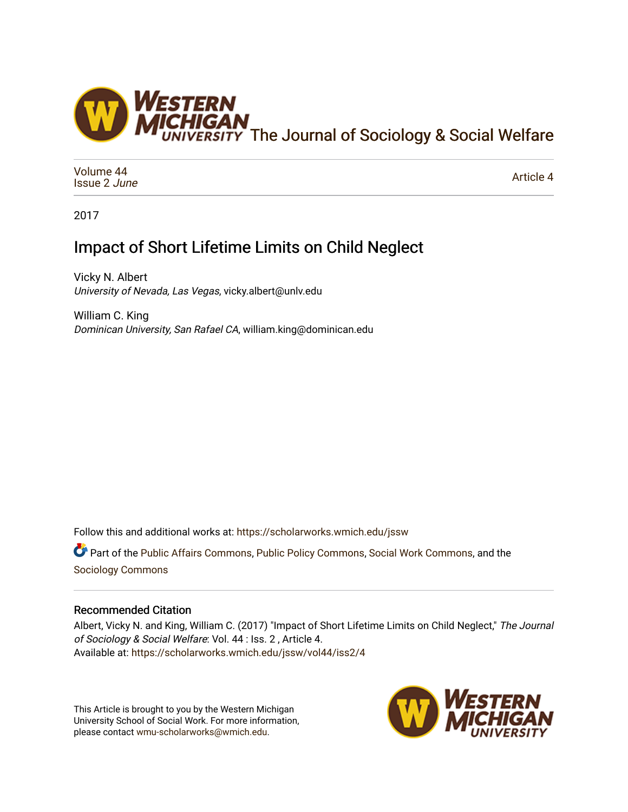

[Volume 44](https://scholarworks.wmich.edu/jssw/vol44) [Issue 2](https://scholarworks.wmich.edu/jssw/vol44/iss2) June

[Article 4](https://scholarworks.wmich.edu/jssw/vol44/iss2/4) 

2017

# Impact of Short Lifetime Limits on Child Neglect

Vicky N. Albert University of Nevada, Las Vegas, vicky.albert@unlv.edu

William C. King Dominican University, San Rafael CA, william.king@dominican.edu

Follow this and additional works at: [https://scholarworks.wmich.edu/jssw](https://scholarworks.wmich.edu/jssw?utm_source=scholarworks.wmich.edu%2Fjssw%2Fvol44%2Fiss2%2F4&utm_medium=PDF&utm_campaign=PDFCoverPages) 

Part of the [Public Affairs Commons,](http://network.bepress.com/hgg/discipline/399?utm_source=scholarworks.wmich.edu%2Fjssw%2Fvol44%2Fiss2%2F4&utm_medium=PDF&utm_campaign=PDFCoverPages) [Public Policy Commons](http://network.bepress.com/hgg/discipline/400?utm_source=scholarworks.wmich.edu%2Fjssw%2Fvol44%2Fiss2%2F4&utm_medium=PDF&utm_campaign=PDFCoverPages), [Social Work Commons](http://network.bepress.com/hgg/discipline/713?utm_source=scholarworks.wmich.edu%2Fjssw%2Fvol44%2Fiss2%2F4&utm_medium=PDF&utm_campaign=PDFCoverPages), and the [Sociology Commons](http://network.bepress.com/hgg/discipline/416?utm_source=scholarworks.wmich.edu%2Fjssw%2Fvol44%2Fiss2%2F4&utm_medium=PDF&utm_campaign=PDFCoverPages) 

# Recommended Citation

Albert, Vicky N. and King, William C. (2017) "Impact of Short Lifetime Limits on Child Neglect," The Journal of Sociology & Social Welfare: Vol. 44 : Iss. 2 , Article 4. Available at: [https://scholarworks.wmich.edu/jssw/vol44/iss2/4](https://scholarworks.wmich.edu/jssw/vol44/iss2/4?utm_source=scholarworks.wmich.edu%2Fjssw%2Fvol44%2Fiss2%2F4&utm_medium=PDF&utm_campaign=PDFCoverPages)

This Article is brought to you by the Western Michigan University School of Social Work. For more information, please contact [wmu-scholarworks@wmich.edu.](mailto:wmu-scholarworks@wmich.edu)

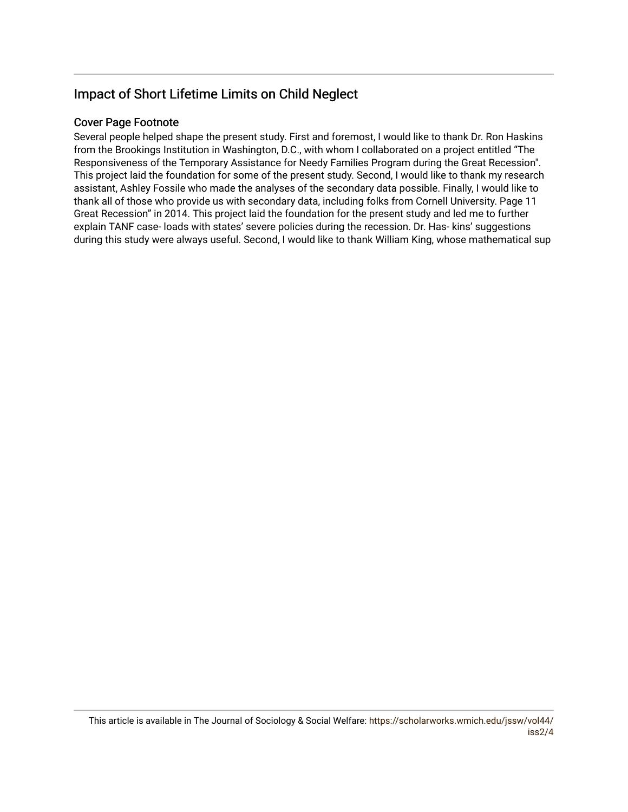# Impact of Short Lifetime Limits on Child Neglect

# Cover Page Footnote

Several people helped shape the present study. First and foremost, I would like to thank Dr. Ron Haskins from the Brookings Institution in Washington, D.C., with whom I collaborated on a project entitled "The Responsiveness of the Temporary Assistance for Needy Families Program during the Great Recession". This project laid the foundation for some of the present study. Second, I would like to thank my research assistant, Ashley Fossile who made the analyses of the secondary data possible. Finally, I would like to thank all of those who provide us with secondary data, including folks from Cornell University. Page 11 Great Recession" in 2014. This project laid the foundation for the present study and led me to further explain TANF case- loads with states' severe policies during the recession. Dr. Has- kins' suggestions during this study were always useful. Second, I would like to thank William King, whose mathematical sup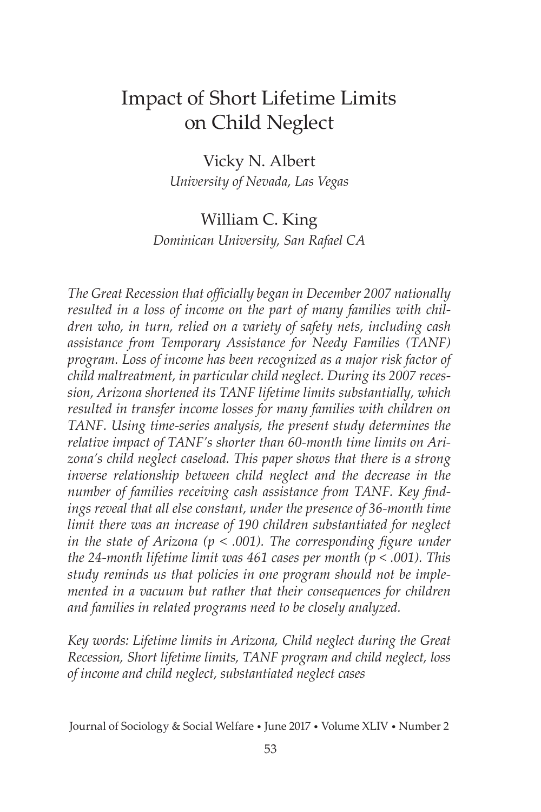# Impact of Short Lifetime Limits on Child Neglect

Vicky N. Albert *University of Nevada, Las Vegas*

# William C. King *Dominican University, San Rafael CA*

*The Great Recession that officially began in December 2007 nationally resulted in a loss of income on the part of many families with children who, in turn, relied on a variety of safety nets, including cash assistance from Temporary Assistance for Needy Families (TANF) program. Loss of income has been recognized as a major risk factor of child maltreatment, in particular child neglect. During its 2007 recession, Arizona shortened its TANF lifetime limits substantially, which resulted in transfer income losses for many families with children on TANF. Using time-series analysis, the present study determines the relative impact of TANF's shorter than 60-month time limits on Arizona's child neglect caseload. This paper shows that there is a strong inverse relationship between child neglect and the decrease in the number of families receiving cash assistance from TANF. Key findings reveal that all else constant, under the presence of 36-month time limit there was an increase of 190 children substantiated for neglect in the state of Arizona (p < .001). The corresponding figure under the 24-month lifetime limit was 461 cases per month (p < .001). This study reminds us that policies in one program should not be implemented in a vacuum but rather that their consequences for children and families in related programs need to be closely analyzed.*

*Key words: Lifetime limits in Arizona, Child neglect during the Great Recession, Short lifetime limits, TANF program and child neglect, loss of income and child neglect, substantiated neglect cases*

Journal of Sociology & Social Welfare • June 2017 • Volume XLIV • Number 2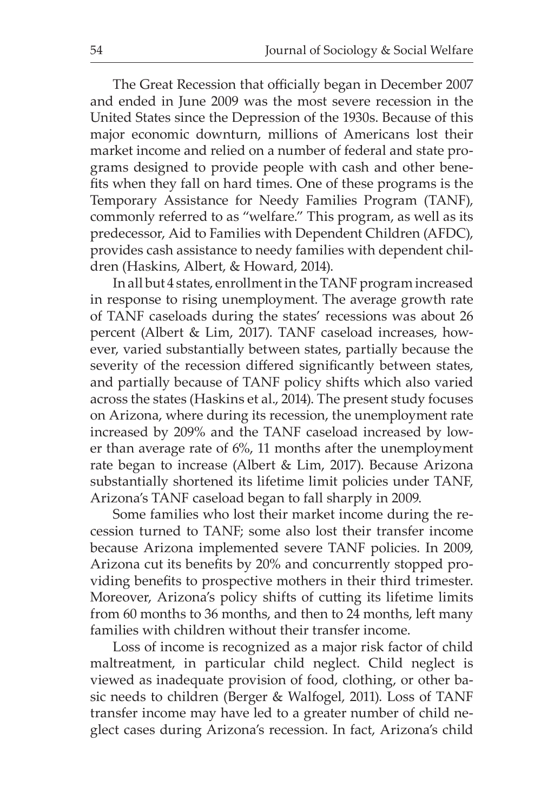The Great Recession that officially began in December 2007 and ended in June 2009 was the most severe recession in the United States since the Depression of the 1930s. Because of this major economic downturn, millions of Americans lost their market income and relied on a number of federal and state programs designed to provide people with cash and other benefits when they fall on hard times. One of these programs is the Temporary Assistance for Needy Families Program (TANF), commonly referred to as "welfare." This program, as well as its predecessor, Aid to Families with Dependent Children (AFDC), provides cash assistance to needy families with dependent children (Haskins, Albert, & Howard, 2014).

In all but 4 states, enrollment in the TANF program increased in response to rising unemployment. The average growth rate of TANF caseloads during the states' recessions was about 26 percent (Albert & Lim, 2017). TANF caseload increases, however, varied substantially between states, partially because the severity of the recession differed significantly between states, and partially because of TANF policy shifts which also varied across the states (Haskins et al., 2014). The present study focuses on Arizona, where during its recession, the unemployment rate increased by 209% and the TANF caseload increased by lower than average rate of 6%, 11 months after the unemployment rate began to increase (Albert & Lim, 2017). Because Arizona substantially shortened its lifetime limit policies under TANF, Arizona's TANF caseload began to fall sharply in 2009.

Some families who lost their market income during the recession turned to TANF; some also lost their transfer income because Arizona implemented severe TANF policies. In 2009, Arizona cut its benefits by 20% and concurrently stopped providing benefits to prospective mothers in their third trimester. Moreover, Arizona's policy shifts of cutting its lifetime limits from 60 months to 36 months, and then to 24 months, left many families with children without their transfer income.

Loss of income is recognized as a major risk factor of child maltreatment, in particular child neglect. Child neglect is viewed as inadequate provision of food, clothing, or other basic needs to children (Berger & Walfogel, 2011). Loss of TANF transfer income may have led to a greater number of child neglect cases during Arizona's recession. In fact, Arizona's child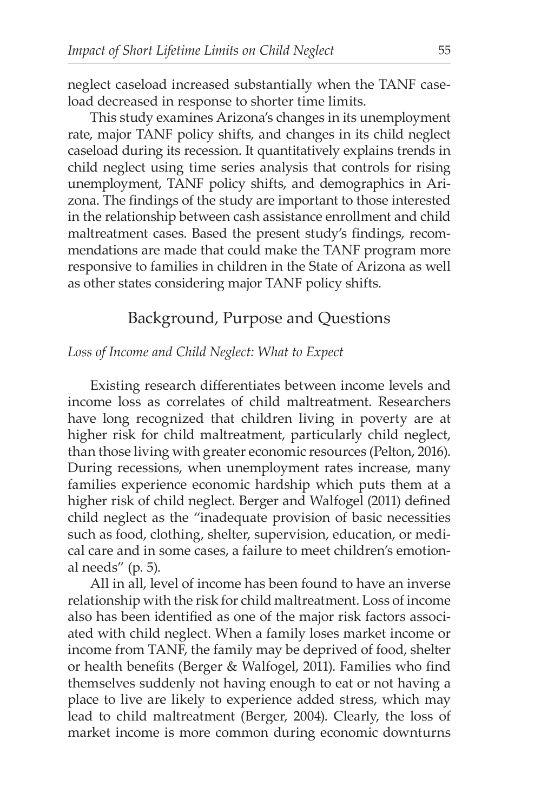neglect caseload increased substantially when the TANF caseload decreased in response to shorter time limits.

This study examines Arizona's changes in its unemployment rate, major TANF policy shifts, and changes in its child neglect caseload during its recession. It quantitatively explains trends in child neglect using time series analysis that controls for rising unemployment, TANF policy shifts, and demographics in Arizona. The findings of the study are important to those interested in the relationship between cash assistance enrollment and child maltreatment cases. Based the present study's findings, recommendations are made that could make the TANF program more responsive to families in children in the State of Arizona as well as other states considering major TANF policy shifts.

# Background, Purpose and Questions

#### *Loss of Income and Child Neglect: What to Expect*

Existing research differentiates between income levels and income loss as correlates of child maltreatment. Researchers have long recognized that children living in poverty are at higher risk for child maltreatment, particularly child neglect, than those living with greater economic resources (Pelton, 2016). During recessions, when unemployment rates increase, many families experience economic hardship which puts them at a higher risk of child neglect. Berger and Walfogel (2011) defined child neglect as the "inadequate provision of basic necessities such as food, clothing, shelter, supervision, education, or medical care and in some cases, a failure to meet children's emotional needs" (p. 5).

All in all, level of income has been found to have an inverse relationship with the risk for child maltreatment. Loss of income also has been identified as one of the major risk factors associated with child neglect. When a family loses market income or income from TANF, the family may be deprived of food, shelter or health benefits (Berger & Walfogel, 2011). Families who find themselves suddenly not having enough to eat or not having a place to live are likely to experience added stress, which may lead to child maltreatment (Berger, 2004). Clearly, the loss of market income is more common during economic downturns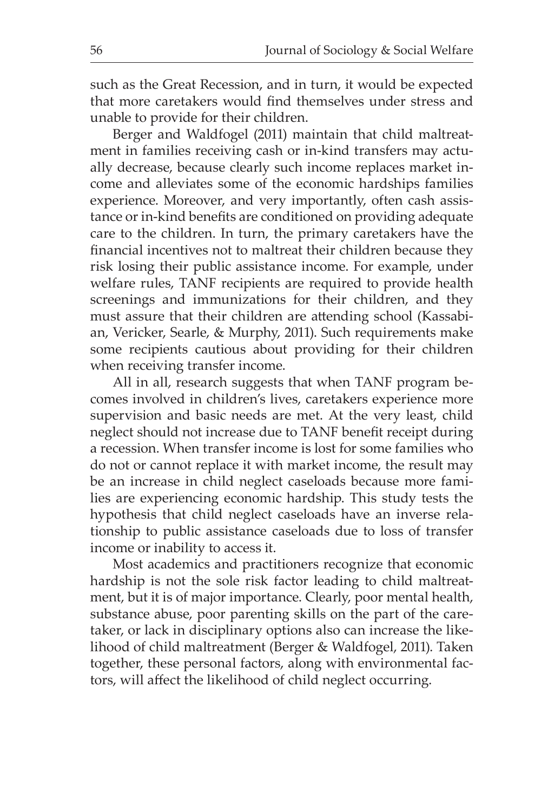such as the Great Recession, and in turn, it would be expected that more caretakers would find themselves under stress and unable to provide for their children.

Berger and Waldfogel (2011) maintain that child maltreatment in families receiving cash or in-kind transfers may actually decrease, because clearly such income replaces market income and alleviates some of the economic hardships families experience. Moreover, and very importantly, often cash assistance or in-kind benefits are conditioned on providing adequate care to the children. In turn, the primary caretakers have the financial incentives not to maltreat their children because they risk losing their public assistance income. For example, under welfare rules, TANF recipients are required to provide health screenings and immunizations for their children, and they must assure that their children are attending school (Kassabian, Vericker, Searle, & Murphy, 2011). Such requirements make some recipients cautious about providing for their children when receiving transfer income.

All in all, research suggests that when TANF program becomes involved in children's lives, caretakers experience more supervision and basic needs are met. At the very least, child neglect should not increase due to TANF benefit receipt during a recession. When transfer income is lost for some families who do not or cannot replace it with market income, the result may be an increase in child neglect caseloads because more families are experiencing economic hardship. This study tests the hypothesis that child neglect caseloads have an inverse relationship to public assistance caseloads due to loss of transfer income or inability to access it.

Most academics and practitioners recognize that economic hardship is not the sole risk factor leading to child maltreatment, but it is of major importance. Clearly, poor mental health, substance abuse, poor parenting skills on the part of the caretaker, or lack in disciplinary options also can increase the likelihood of child maltreatment (Berger & Waldfogel, 2011). Taken together, these personal factors, along with environmental factors, will affect the likelihood of child neglect occurring.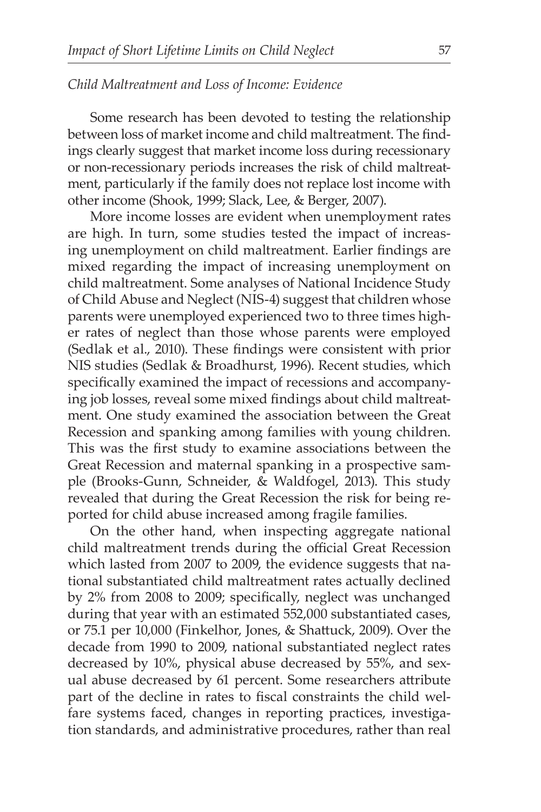### *Child Maltreatment and Loss of Income: Evidence*

Some research has been devoted to testing the relationship between loss of market income and child maltreatment. The findings clearly suggest that market income loss during recessionary or non-recessionary periods increases the risk of child maltreatment, particularly if the family does not replace lost income with other income (Shook, 1999; Slack, Lee, & Berger, 2007).

More income losses are evident when unemployment rates are high. In turn, some studies tested the impact of increasing unemployment on child maltreatment. Earlier findings are mixed regarding the impact of increasing unemployment on child maltreatment. Some analyses of National Incidence Study of Child Abuse and Neglect (NIS-4) suggest that children whose parents were unemployed experienced two to three times higher rates of neglect than those whose parents were employed (Sedlak et al., 2010). These findings were consistent with prior NIS studies (Sedlak & Broadhurst, 1996). Recent studies, which specifically examined the impact of recessions and accompanying job losses, reveal some mixed findings about child maltreatment. One study examined the association between the Great Recession and spanking among families with young children. This was the first study to examine associations between the Great Recession and maternal spanking in a prospective sample (Brooks-Gunn, Schneider, & Waldfogel, 2013). This study revealed that during the Great Recession the risk for being reported for child abuse increased among fragile families.

On the other hand, when inspecting aggregate national child maltreatment trends during the official Great Recession which lasted from 2007 to 2009, the evidence suggests that national substantiated child maltreatment rates actually declined by 2% from 2008 to 2009; specifically, neglect was unchanged during that year with an estimated 552,000 substantiated cases, or 75.1 per 10,000 (Finkelhor, Jones, & Shattuck, 2009). Over the decade from 1990 to 2009, national substantiated neglect rates decreased by 10%, physical abuse decreased by 55%, and sexual abuse decreased by 61 percent. Some researchers attribute part of the decline in rates to fiscal constraints the child welfare systems faced, changes in reporting practices, investigation standards, and administrative procedures, rather than real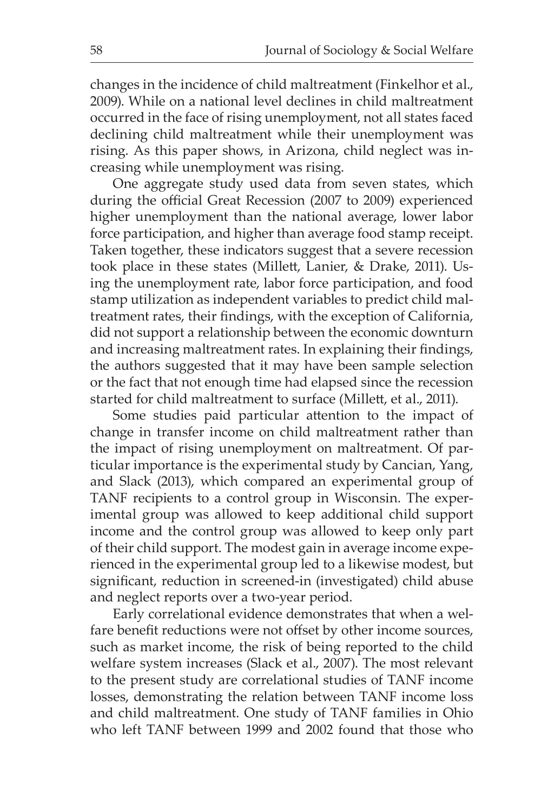changes in the incidence of child maltreatment (Finkelhor et al., 2009). While on a national level declines in child maltreatment occurred in the face of rising unemployment, not all states faced declining child maltreatment while their unemployment was rising. As this paper shows, in Arizona, child neglect was increasing while unemployment was rising.

One aggregate study used data from seven states, which during the official Great Recession (2007 to 2009) experienced higher unemployment than the national average, lower labor force participation, and higher than average food stamp receipt. Taken together, these indicators suggest that a severe recession took place in these states (Millett, Lanier, & Drake, 2011). Using the unemployment rate, labor force participation, and food stamp utilization as independent variables to predict child maltreatment rates, their findings, with the exception of California, did not support a relationship between the economic downturn and increasing maltreatment rates. In explaining their findings, the authors suggested that it may have been sample selection or the fact that not enough time had elapsed since the recession started for child maltreatment to surface (Millett, et al., 2011).

Some studies paid particular attention to the impact of change in transfer income on child maltreatment rather than the impact of rising unemployment on maltreatment. Of particular importance is the experimental study by Cancian, Yang, and Slack (2013), which compared an experimental group of TANF recipients to a control group in Wisconsin. The experimental group was allowed to keep additional child support income and the control group was allowed to keep only part of their child support. The modest gain in average income experienced in the experimental group led to a likewise modest, but significant, reduction in screened-in (investigated) child abuse and neglect reports over a two-year period.

Early correlational evidence demonstrates that when a welfare benefit reductions were not offset by other income sources, such as market income, the risk of being reported to the child welfare system increases (Slack et al., 2007). The most relevant to the present study are correlational studies of TANF income losses, demonstrating the relation between TANF income loss and child maltreatment. One study of TANF families in Ohio who left TANF between 1999 and 2002 found that those who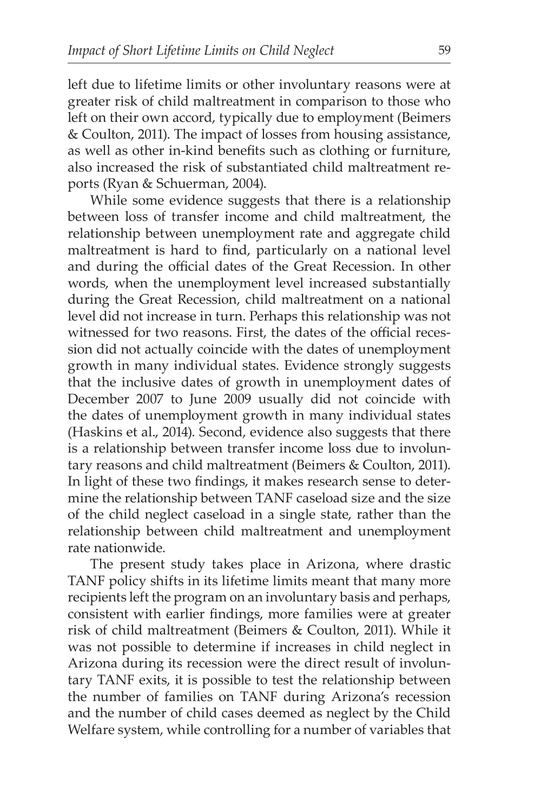left due to lifetime limits or other involuntary reasons were at greater risk of child maltreatment in comparison to those who left on their own accord, typically due to employment (Beimers & Coulton, 2011). The impact of losses from housing assistance, as well as other in-kind benefits such as clothing or furniture, also increased the risk of substantiated child maltreatment reports (Ryan & Schuerman, 2004).

While some evidence suggests that there is a relationship between loss of transfer income and child maltreatment, the relationship between unemployment rate and aggregate child maltreatment is hard to find, particularly on a national level and during the official dates of the Great Recession. In other words, when the unemployment level increased substantially during the Great Recession, child maltreatment on a national level did not increase in turn. Perhaps this relationship was not witnessed for two reasons. First, the dates of the official recession did not actually coincide with the dates of unemployment growth in many individual states. Evidence strongly suggests that the inclusive dates of growth in unemployment dates of December 2007 to June 2009 usually did not coincide with the dates of unemployment growth in many individual states (Haskins et al., 2014). Second, evidence also suggests that there is a relationship between transfer income loss due to involuntary reasons and child maltreatment (Beimers & Coulton, 2011). In light of these two findings, it makes research sense to determine the relationship between TANF caseload size and the size of the child neglect caseload in a single state, rather than the relationship between child maltreatment and unemployment rate nationwide.

The present study takes place in Arizona, where drastic TANF policy shifts in its lifetime limits meant that many more recipients left the program on an involuntary basis and perhaps, consistent with earlier findings, more families were at greater risk of child maltreatment (Beimers & Coulton, 2011). While it was not possible to determine if increases in child neglect in Arizona during its recession were the direct result of involuntary TANF exits, it is possible to test the relationship between the number of families on TANF during Arizona's recession and the number of child cases deemed as neglect by the Child Welfare system, while controlling for a number of variables that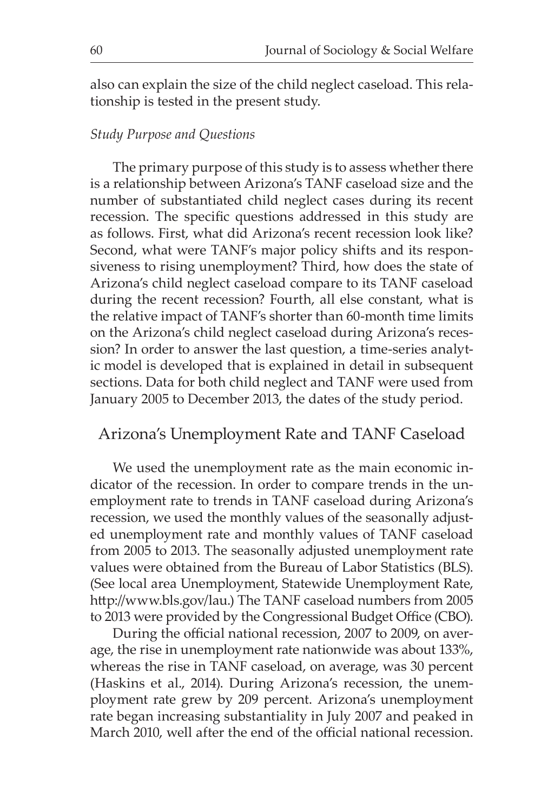also can explain the size of the child neglect caseload. This relationship is tested in the present study.

#### *Study Purpose and Questions*

The primary purpose of this study is to assess whether there is a relationship between Arizona's TANF caseload size and the number of substantiated child neglect cases during its recent recession. The specific questions addressed in this study are as follows. First, what did Arizona's recent recession look like? Second, what were TANF's major policy shifts and its responsiveness to rising unemployment? Third, how does the state of Arizona's child neglect caseload compare to its TANF caseload during the recent recession? Fourth, all else constant, what is the relative impact of TANF's shorter than 60-month time limits on the Arizona's child neglect caseload during Arizona's recession? In order to answer the last question, a time-series analytic model is developed that is explained in detail in subsequent sections. Data for both child neglect and TANF were used from January 2005 to December 2013, the dates of the study period.

### Arizona's Unemployment Rate and TANF Caseload

We used the unemployment rate as the main economic indicator of the recession. In order to compare trends in the unemployment rate to trends in TANF caseload during Arizona's recession, we used the monthly values of the seasonally adjusted unemployment rate and monthly values of TANF caseload from 2005 to 2013. The seasonally adjusted unemployment rate values were obtained from the Bureau of Labor Statistics (BLS). (See local area Unemployment, Statewide Unemployment Rate, http://www.bls.gov/lau.) The TANF caseload numbers from 2005 to 2013 were provided by the Congressional Budget Office (CBO).

During the official national recession, 2007 to 2009, on average, the rise in unemployment rate nationwide was about 133%, whereas the rise in TANF caseload, on average, was 30 percent (Haskins et al., 2014). During Arizona's recession, the unemployment rate grew by 209 percent. Arizona's unemployment rate began increasing substantiality in July 2007 and peaked in March 2010, well after the end of the official national recession.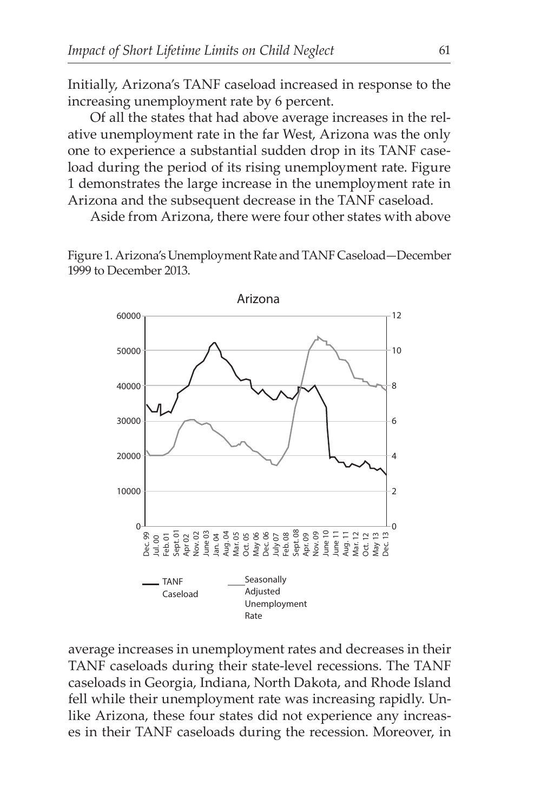Initially, Arizona's TANF caseload increased in response to the increasing unemployment rate by 6 percent.

Of all the states that had above average increases in the relative unemployment rate in the far West, Arizona was the only one to experience a substantial sudden drop in its TANF caseload during the period of its rising unemployment rate. Figure 1 demonstrates the large increase in the unemployment rate in Arizona and the subsequent decrease in the TANF caseload.

Aside from Arizona, there were four other states with above

Figure 1. Arizona's Unemployment Rate and TANF Caseload—December 1999 to December 2013.



average increases in unemployment rates and decreases in their TANF caseloads during their state-level recessions. The TANF caseloads in Georgia, Indiana, North Dakota, and Rhode Island fell while their unemployment rate was increasing rapidly. Unlike Arizona, these four states did not experience any increases in their TANF caseloads during the recession. Moreover, in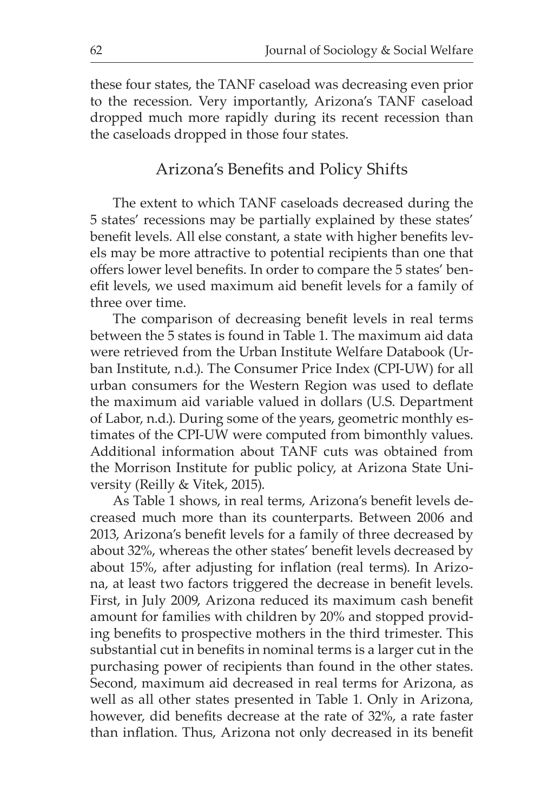these four states, the TANF caseload was decreasing even prior to the recession. Very importantly, Arizona's TANF caseload dropped much more rapidly during its recent recession than the caseloads dropped in those four states.

# Arizona's Benefits and Policy Shifts

The extent to which TANF caseloads decreased during the 5 states' recessions may be partially explained by these states' benefit levels. All else constant, a state with higher benefits levels may be more attractive to potential recipients than one that offers lower level benefits. In order to compare the 5 states' benefit levels, we used maximum aid benefit levels for a family of three over time.

The comparison of decreasing benefit levels in real terms between the 5 states is found in Table 1. The maximum aid data were retrieved from the Urban Institute Welfare Databook (Urban Institute, n.d.). The Consumer Price Index (CPI-UW) for all urban consumers for the Western Region was used to deflate the maximum aid variable valued in dollars (U.S. Department of Labor, n.d.). During some of the years, geometric monthly estimates of the CPI-UW were computed from bimonthly values. Additional information about TANF cuts was obtained from the Morrison Institute for public policy, at Arizona State University (Reilly & Vitek, 2015).

As Table 1 shows, in real terms, Arizona's benefit levels decreased much more than its counterparts. Between 2006 and 2013, Arizona's benefit levels for a family of three decreased by about 32%, whereas the other states' benefit levels decreased by about 15%, after adjusting for inflation (real terms). In Arizona, at least two factors triggered the decrease in benefit levels. First, in July 2009, Arizona reduced its maximum cash benefit amount for families with children by 20% and stopped providing benefits to prospective mothers in the third trimester. This substantial cut in benefits in nominal terms is a larger cut in the purchasing power of recipients than found in the other states. Second, maximum aid decreased in real terms for Arizona, as well as all other states presented in Table 1. Only in Arizona, however, did benefits decrease at the rate of 32%, a rate faster than inflation. Thus, Arizona not only decreased in its benefit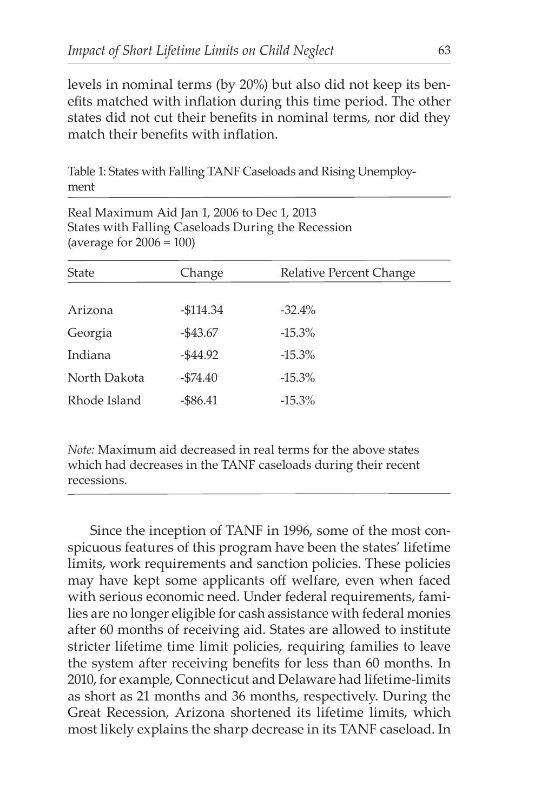levels in nominal terms (by 20%) but also did not keep its benefits matched with inflation during this time period. The other states did not cut their benefits in nominal terms, nor did they match their benefits with inflation.

Table 1: States with Falling TANF Caseloads and Rising Unemployment

| Real Maximum Aid Jan 1, 2006 to Dec 1, 2013        |  |
|----------------------------------------------------|--|
| States with Falling Caseloads During the Recession |  |
| (average for $2006 = 100$ )                        |  |

| <b>State</b> | Change      | Relative Percent Change |
|--------------|-------------|-------------------------|
|              |             |                         |
| Arizona      | $-$114.34$  | $-32.4%$                |
| Georgia      | $-$ \$43.67 | $-15.3\%$               |
| Indiana      | $-$44.92$   | $-15.3\%$               |
| North Dakota | $- $74.40$  | $-15.3\%$               |
| Rhode Island | $-$ \$86.41 | $-15.3\%$               |

*Note:* Maximum aid decreased in real terms for the above states which had decreases in the TANF caseloads during their recent recessions.

Since the inception of TANF in 1996, some of the most conspicuous features of this program have been the states' lifetime limits, work requirements and sanction policies. These policies may have kept some applicants off welfare, even when faced with serious economic need. Under federal requirements, families are no longer eligible for cash assistance with federal monies after 60 months of receiving aid. States are allowed to institute stricter lifetime time limit policies, requiring families to leave the system after receiving benefits for less than 60 months. In 2010, for example, Connecticut and Delaware had lifetime-limits as short as 21 months and 36 months, respectively. During the Great Recession, Arizona shortened its lifetime limits, which most likely explains the sharp decrease in its TANF caseload. In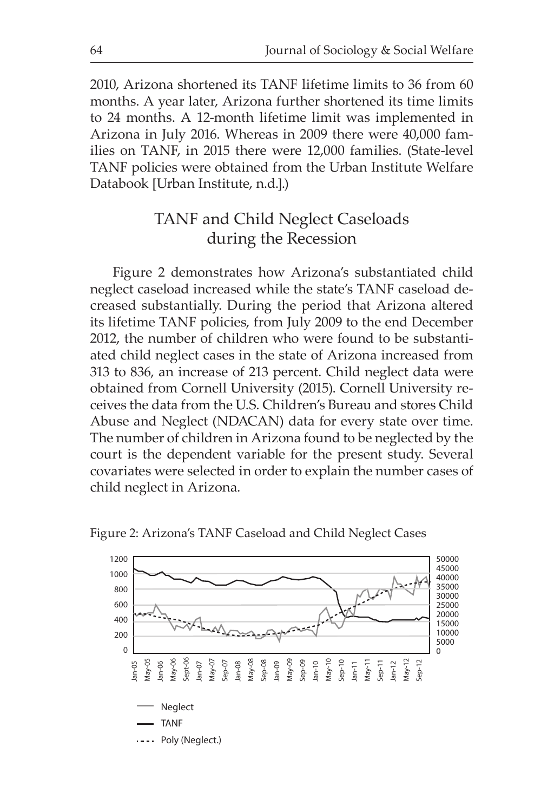2010, Arizona shortened its TANF lifetime limits to 36 from 60 months. A year later, Arizona further shortened its time limits to 24 months. A 12-month lifetime limit was implemented in Arizona in July 2016. Whereas in 2009 there were 40,000 families on TANF, in 2015 there were 12,000 families. (State-level TANF policies were obtained from the Urban Institute Welfare Databook [Urban Institute, n.d.].)

# TANF and Child Neglect Caseloads during the Recession

Figure 2 demonstrates how Arizona's substantiated child neglect caseload increased while the state's TANF caseload decreased substantially. During the period that Arizona altered its lifetime TANF policies, from July 2009 to the end December 2012, the number of children who were found to be substantiated child neglect cases in the state of Arizona increased from 313 to 836, an increase of 213 percent. Child neglect data were obtained from Cornell University (2015). Cornell University receives the data from the U.S. Children's Bureau and stores Child Abuse and Neglect (NDACAN) data for every state over time. The number of children in Arizona found to be neglected by the court is the dependent variable for the present study. Several covariates were selected in order to explain the number cases of child neglect in Arizona.



Figure 2: Arizona's TANF Caseload and Child Neglect Cases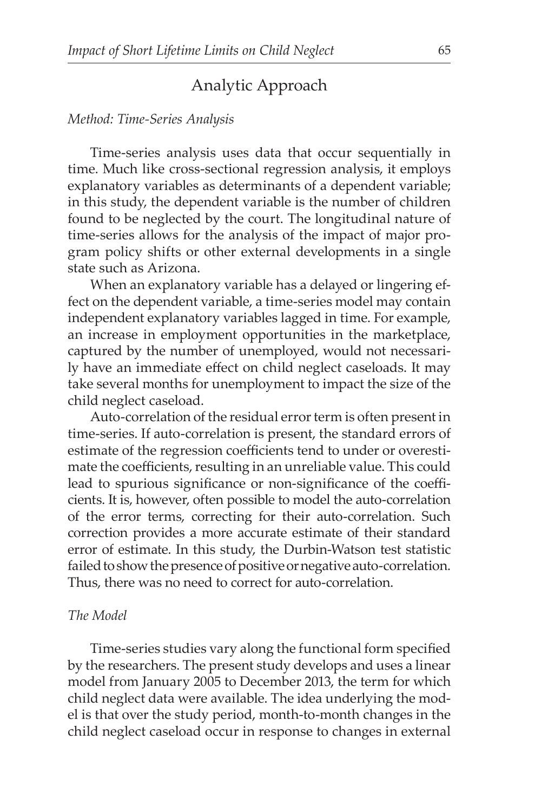# Analytic Approach

#### *Method: Time-Series Analysis*

Time-series analysis uses data that occur sequentially in time. Much like cross-sectional regression analysis, it employs explanatory variables as determinants of a dependent variable; in this study, the dependent variable is the number of children found to be neglected by the court. The longitudinal nature of time-series allows for the analysis of the impact of major program policy shifts or other external developments in a single state such as Arizona.

When an explanatory variable has a delayed or lingering effect on the dependent variable, a time-series model may contain independent explanatory variables lagged in time. For example, an increase in employment opportunities in the marketplace, captured by the number of unemployed, would not necessarily have an immediate effect on child neglect caseloads. It may take several months for unemployment to impact the size of the child neglect caseload.

Auto-correlation of the residual error term is often present in time-series. If auto-correlation is present, the standard errors of estimate of the regression coefficients tend to under or overestimate the coefficients, resulting in an unreliable value. This could lead to spurious significance or non-significance of the coefficients. It is, however, often possible to model the auto-correlation of the error terms, correcting for their auto-correlation. Such correction provides a more accurate estimate of their standard error of estimate. In this study, the Durbin-Watson test statistic failed to show the presence of positive or negative auto-correlation. Thus, there was no need to correct for auto-correlation.

#### *The Model*

Time-series studies vary along the functional form specified by the researchers. The present study develops and uses a linear model from January 2005 to December 2013, the term for which child neglect data were available. The idea underlying the model is that over the study period, month-to-month changes in the child neglect caseload occur in response to changes in external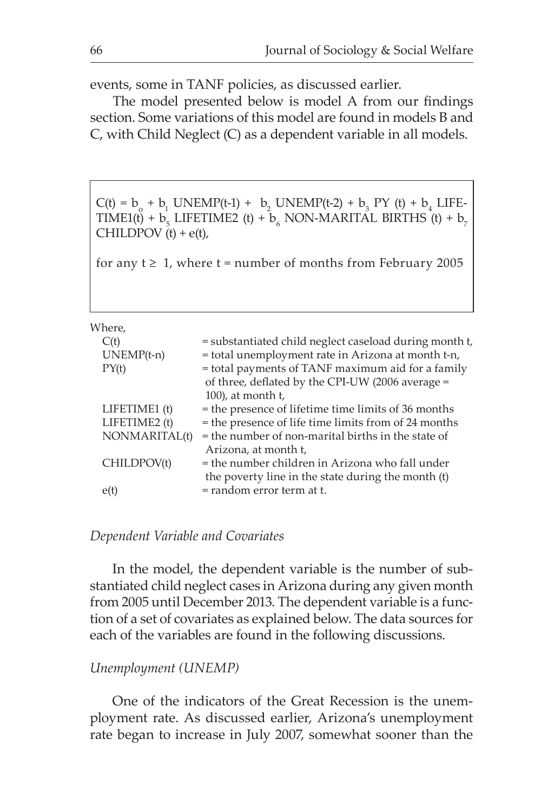events, some in TANF policies, as discussed earlier.

The model presented below is model A from our findings section. Some variations of this model are found in models B and C, with Child Neglect (C) as a dependent variable in all models.

 $C(t) = b_0 + b_1 UNEMP(t-1) + b_2 UNEMP(t-2) + b_3 PY (t) + b_4 LIFE-$ TIME1(t) +  $b_5$  LIFETIME2 (t) +  $b_6$  NON-MARITAL BIRTHS (t) +  $b_7$ CHILDPOV  $(t) + e(t)$ ,

for any  $t \geq 1$ , where  $t =$  number of months from February 2005

Where,

| ,,,,,,,,,     |                                                        |
|---------------|--------------------------------------------------------|
| C(t)          | = substantiated child neglect caseload during month t, |
| $UNEMP(t-n)$  | = total unemployment rate in Arizona at month t-n,     |
| PY(t)         | = total payments of TANF maximum aid for a family      |
|               | of three, deflated by the CPI-UW (2006 average =       |
|               | $100$ , at month t,                                    |
| LIFETIME1 (t) | = the presence of lifetime time limits of 36 months    |
| LIFETIME2 (t) | = the presence of life time limits from of 24 months   |
| NONMARITAL(t) | = the number of non-marital births in the state of     |
|               | Arizona, at month t,                                   |
| CHILDPOV(t)   | = the number children in Arizona who fall under        |
|               | the poverty line in the state during the month (t)     |
| e(t)          | = random error term at t.                              |
|               |                                                        |

#### *Dependent Variable and Covariates*

In the model, the dependent variable is the number of substantiated child neglect cases in Arizona during any given month from 2005 until December 2013. The dependent variable is a function of a set of covariates as explained below. The data sources for each of the variables are found in the following discussions.

#### *Unemployment (UNEMP)*

One of the indicators of the Great Recession is the unemployment rate. As discussed earlier, Arizona's unemployment rate began to increase in July 2007, somewhat sooner than the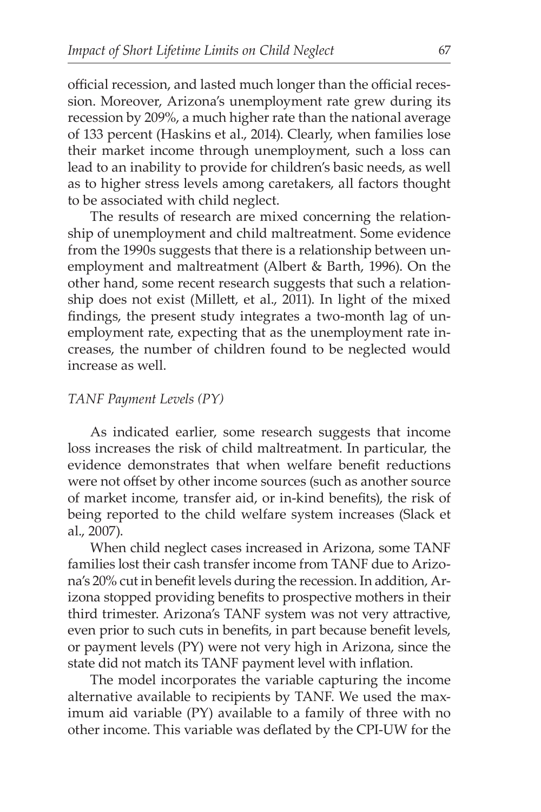official recession, and lasted much longer than the official recession. Moreover, Arizona's unemployment rate grew during its recession by 209%, a much higher rate than the national average of 133 percent (Haskins et al., 2014). Clearly, when families lose their market income through unemployment, such a loss can lead to an inability to provide for children's basic needs, as well as to higher stress levels among caretakers, all factors thought to be associated with child neglect.

The results of research are mixed concerning the relationship of unemployment and child maltreatment. Some evidence from the 1990s suggests that there is a relationship between unemployment and maltreatment (Albert & Barth, 1996). On the other hand, some recent research suggests that such a relationship does not exist (Millett, et al., 2011). In light of the mixed findings, the present study integrates a two-month lag of unemployment rate, expecting that as the unemployment rate increases, the number of children found to be neglected would increase as well.

#### *TANF Payment Levels (PY)*

As indicated earlier, some research suggests that income loss increases the risk of child maltreatment. In particular, the evidence demonstrates that when welfare benefit reductions were not offset by other income sources (such as another source of market income, transfer aid, or in-kind benefits), the risk of being reported to the child welfare system increases (Slack et al., 2007).

When child neglect cases increased in Arizona, some TANF families lost their cash transfer income from TANF due to Arizona's 20% cut in benefit levels during the recession. In addition, Arizona stopped providing benefits to prospective mothers in their third trimester. Arizona's TANF system was not very attractive, even prior to such cuts in benefits, in part because benefit levels, or payment levels (PY) were not very high in Arizona, since the state did not match its TANF payment level with inflation.

The model incorporates the variable capturing the income alternative available to recipients by TANF. We used the maximum aid variable (PY) available to a family of three with no other income. This variable was deflated by the CPI-UW for the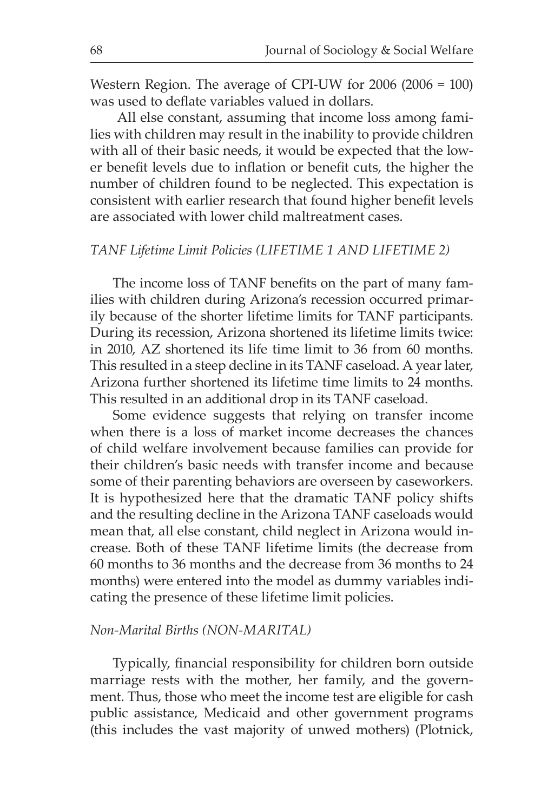Western Region. The average of CPI-UW for 2006 (2006 = 100) was used to deflate variables valued in dollars.

 All else constant, assuming that income loss among families with children may result in the inability to provide children with all of their basic needs, it would be expected that the lower benefit levels due to inflation or benefit cuts, the higher the number of children found to be neglected. This expectation is consistent with earlier research that found higher benefit levels are associated with lower child maltreatment cases.

## *TANF Lifetime Limit Policies (LIFETIME 1 AND LIFETIME 2)*

The income loss of TANF benefits on the part of many families with children during Arizona's recession occurred primarily because of the shorter lifetime limits for TANF participants. During its recession, Arizona shortened its lifetime limits twice: in 2010, AZ shortened its life time limit to 36 from 60 months. This resulted in a steep decline in its TANF caseload. A year later, Arizona further shortened its lifetime time limits to 24 months. This resulted in an additional drop in its TANF caseload.

Some evidence suggests that relying on transfer income when there is a loss of market income decreases the chances of child welfare involvement because families can provide for their children's basic needs with transfer income and because some of their parenting behaviors are overseen by caseworkers. It is hypothesized here that the dramatic TANF policy shifts and the resulting decline in the Arizona TANF caseloads would mean that, all else constant, child neglect in Arizona would increase. Both of these TANF lifetime limits (the decrease from 60 months to 36 months and the decrease from 36 months to 24 months) were entered into the model as dummy variables indicating the presence of these lifetime limit policies.

#### *Non-Marital Births (NON-MARITAL)*

Typically, financial responsibility for children born outside marriage rests with the mother, her family, and the government. Thus, those who meet the income test are eligible for cash public assistance, Medicaid and other government programs (this includes the vast majority of unwed mothers) (Plotnick,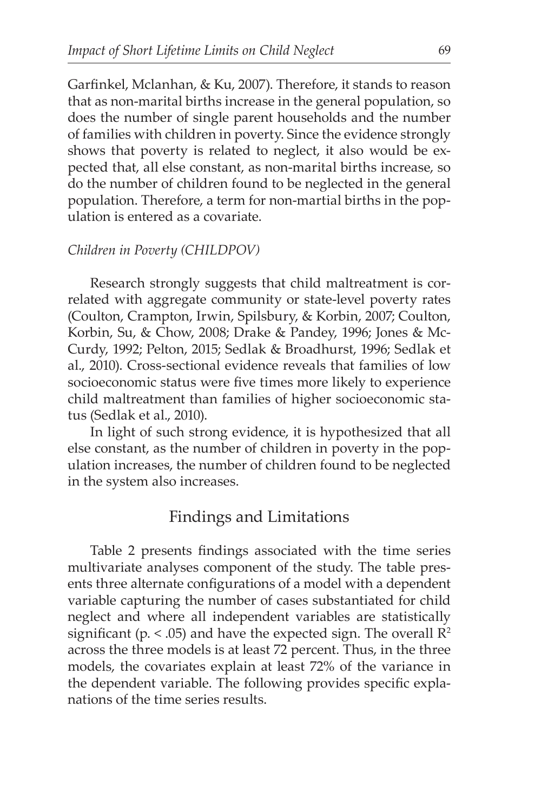Garfinkel, Mclanhan, & Ku, 2007). Therefore, it stands to reason that as non-marital births increase in the general population, so does the number of single parent households and the number of families with children in poverty. Since the evidence strongly shows that poverty is related to neglect, it also would be expected that, all else constant, as non-marital births increase, so do the number of children found to be neglected in the general population. Therefore, a term for non-martial births in the population is entered as a covariate.

#### *Children in Poverty (CHILDPOV)*

Research strongly suggests that child maltreatment is correlated with aggregate community or state-level poverty rates (Coulton, Crampton, Irwin, Spilsbury, & Korbin, 2007; Coulton, Korbin, Su, & Chow, 2008; Drake & Pandey, 1996; Jones & Mc-Curdy, 1992; Pelton, 2015; Sedlak & Broadhurst, 1996; Sedlak et al., 2010). Cross-sectional evidence reveals that families of low socioeconomic status were five times more likely to experience child maltreatment than families of higher socioeconomic status (Sedlak et al., 2010).

In light of such strong evidence, it is hypothesized that all else constant, as the number of children in poverty in the population increases, the number of children found to be neglected in the system also increases.

# Findings and Limitations

Table 2 presents findings associated with the time series multivariate analyses component of the study. The table presents three alternate configurations of a model with a dependent variable capturing the number of cases substantiated for child neglect and where all independent variables are statistically significant (p.  $\leq$  .05) and have the expected sign. The overall  $\mathbb{R}^2$ across the three models is at least 72 percent. Thus, in the three models, the covariates explain at least 72% of the variance in the dependent variable. The following provides specific explanations of the time series results.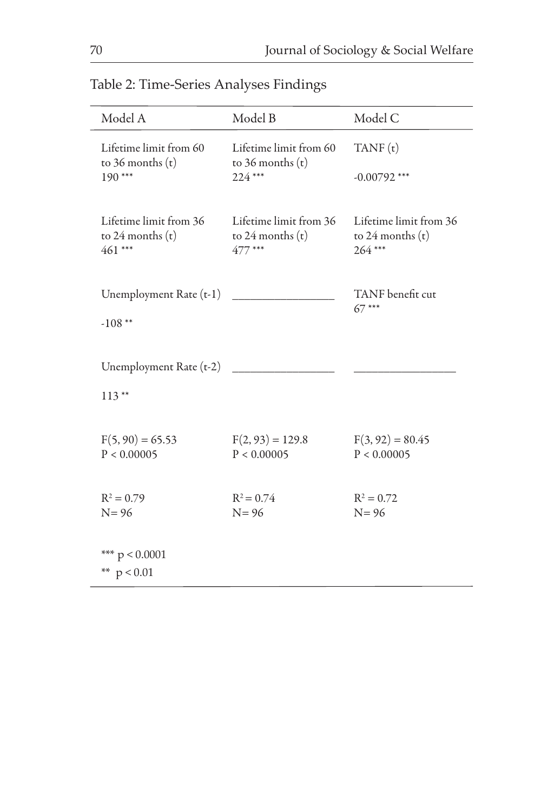| Table 2: Time-Series Analyses Findings |
|----------------------------------------|
|----------------------------------------|

| Model A                                                    | Model B                                                  | Model C                                        |
|------------------------------------------------------------|----------------------------------------------------------|------------------------------------------------|
| Lifetime limit from 60<br>to $36$ months $(t)$<br>$190***$ | Lifetime limit from 60<br>to $36$ months $(t)$<br>224*** | TANF(t)<br>$-0.00792$ ***                      |
|                                                            |                                                          |                                                |
| Lifetime limit from 36<br>to $24$ months $(t)$             | Lifetime limit from 36<br>to $24$ months $(t)$           | Lifetime limit from 36<br>to $24$ months $(t)$ |
| 461***                                                     | 477***                                                   | 264***                                         |
| Unemployment Rate (t-1)                                    |                                                          | TANF benefit cut                               |
| $-108**$                                                   |                                                          | $67***$                                        |
| Unemployment Rate (t-2)                                    |                                                          |                                                |
| $113**$                                                    |                                                          |                                                |
|                                                            |                                                          |                                                |
| $F(5, 90) = 65.53$<br>P < 0.00005                          | $F(2, 93) = 129.8$<br>P < 0.00005                        | $F(3, 92) = 80.45$<br>P < 0.00005              |
|                                                            |                                                          |                                                |
| $R^2 = 0.79$<br>$N = 96$                                   | $R^2 = 0.74$<br>$N = 96$                                 | $R^2 = 0.72$<br>$N = 96$                       |
|                                                            |                                                          |                                                |
| *** $p < 0.0001$<br>** $p < 0.01$                          |                                                          |                                                |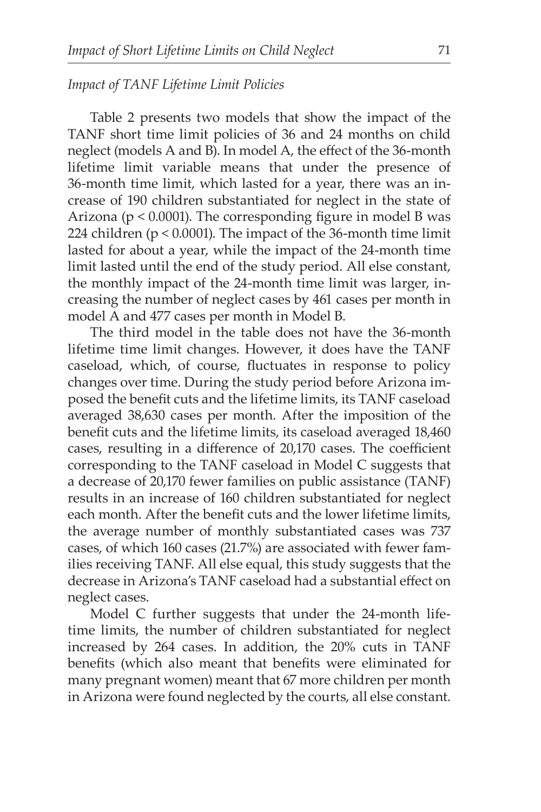## *Impact of TANF Lifetime Limit Policies*

Table 2 presents two models that show the impact of the TANF short time limit policies of 36 and 24 months on child neglect (models A and B). In model A, the effect of the 36-month lifetime limit variable means that under the presence of 36-month time limit, which lasted for a year, there was an increase of 190 children substantiated for neglect in the state of Arizona (p < 0.0001). The corresponding figure in model B was 224 children (p < 0.0001). The impact of the 36-month time limit lasted for about a year, while the impact of the 24-month time limit lasted until the end of the study period. All else constant, the monthly impact of the 24-month time limit was larger, increasing the number of neglect cases by 461 cases per month in model A and 477 cases per month in Model B.

The third model in the table does not have the 36-month lifetime time limit changes. However, it does have the TANF caseload, which, of course, fluctuates in response to policy changes over time. During the study period before Arizona imposed the benefit cuts and the lifetime limits, its TANF caseload averaged 38,630 cases per month. After the imposition of the benefit cuts and the lifetime limits, its caseload averaged 18,460 cases, resulting in a difference of 20,170 cases. The coefficient corresponding to the TANF caseload in Model C suggests that a decrease of 20,170 fewer families on public assistance (TANF) results in an increase of 160 children substantiated for neglect each month. After the benefit cuts and the lower lifetime limits, the average number of monthly substantiated cases was 737 cases, of which 160 cases (21.7%) are associated with fewer families receiving TANF. All else equal, this study suggests that the decrease in Arizona's TANF caseload had a substantial effect on neglect cases.

Model C further suggests that under the 24-month lifetime limits, the number of children substantiated for neglect increased by 264 cases. In addition, the 20% cuts in TANF benefits (which also meant that benefits were eliminated for many pregnant women) meant that 67 more children per month in Arizona were found neglected by the courts, all else constant.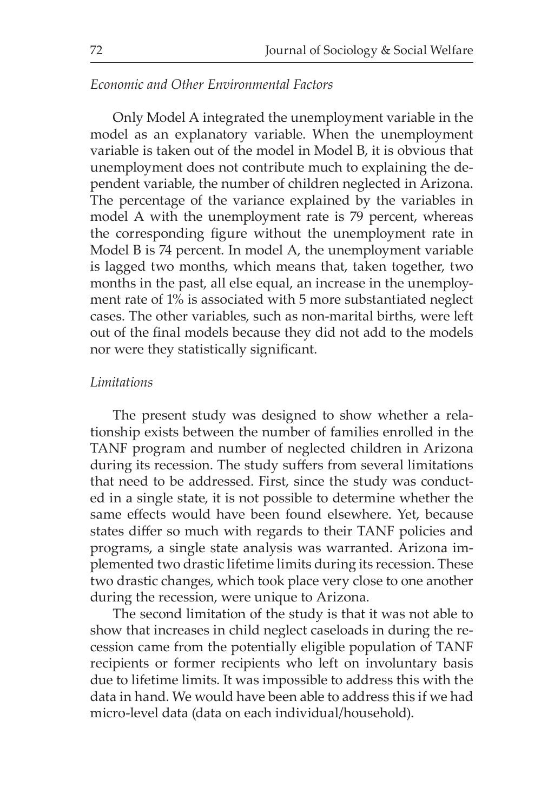### *Economic and Other Environmental Factors*

Only Model A integrated the unemployment variable in the model as an explanatory variable. When the unemployment variable is taken out of the model in Model B, it is obvious that unemployment does not contribute much to explaining the dependent variable, the number of children neglected in Arizona. The percentage of the variance explained by the variables in model A with the unemployment rate is 79 percent, whereas the corresponding figure without the unemployment rate in Model B is 74 percent. In model A, the unemployment variable is lagged two months, which means that, taken together, two months in the past, all else equal, an increase in the unemployment rate of 1% is associated with 5 more substantiated neglect cases. The other variables, such as non-marital births, were left out of the final models because they did not add to the models nor were they statistically significant.

#### *Limitations*

The present study was designed to show whether a relationship exists between the number of families enrolled in the TANF program and number of neglected children in Arizona during its recession. The study suffers from several limitations that need to be addressed. First, since the study was conducted in a single state, it is not possible to determine whether the same effects would have been found elsewhere. Yet, because states differ so much with regards to their TANF policies and programs, a single state analysis was warranted. Arizona implemented two drastic lifetime limits during its recession. These two drastic changes, which took place very close to one another during the recession, were unique to Arizona.

The second limitation of the study is that it was not able to show that increases in child neglect caseloads in during the recession came from the potentially eligible population of TANF recipients or former recipients who left on involuntary basis due to lifetime limits. It was impossible to address this with the data in hand. We would have been able to address this if we had micro-level data (data on each individual/household).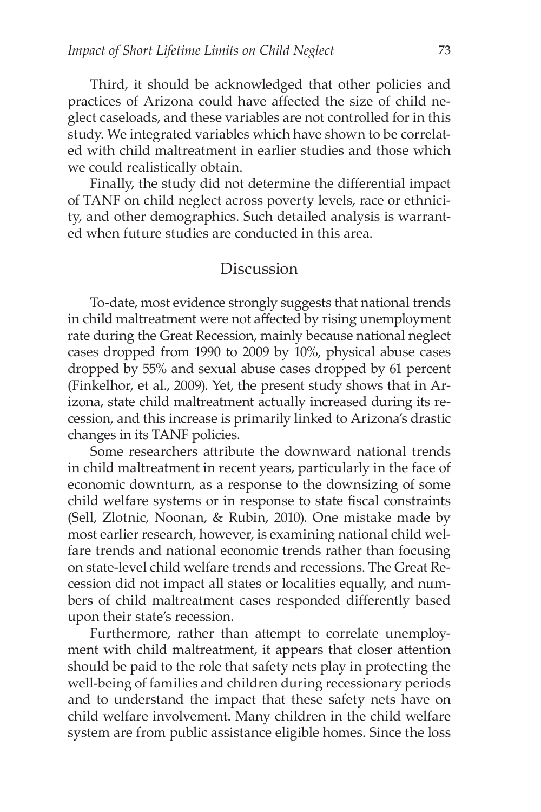Third, it should be acknowledged that other policies and practices of Arizona could have affected the size of child neglect caseloads, and these variables are not controlled for in this study. We integrated variables which have shown to be correlated with child maltreatment in earlier studies and those which we could realistically obtain.

Finally, the study did not determine the differential impact of TANF on child neglect across poverty levels, race or ethnicity, and other demographics. Such detailed analysis is warranted when future studies are conducted in this area.

### Discussion

To-date, most evidence strongly suggests that national trends in child maltreatment were not affected by rising unemployment rate during the Great Recession, mainly because national neglect cases dropped from 1990 to 2009 by 10%, physical abuse cases dropped by 55% and sexual abuse cases dropped by 61 percent (Finkelhor, et al., 2009). Yet, the present study shows that in Arizona, state child maltreatment actually increased during its recession, and this increase is primarily linked to Arizona's drastic changes in its TANF policies.

Some researchers attribute the downward national trends in child maltreatment in recent years, particularly in the face of economic downturn, as a response to the downsizing of some child welfare systems or in response to state fiscal constraints (Sell, Zlotnic, Noonan, & Rubin, 2010). One mistake made by most earlier research, however, is examining national child welfare trends and national economic trends rather than focusing on state-level child welfare trends and recessions. The Great Recession did not impact all states or localities equally, and numbers of child maltreatment cases responded differently based upon their state's recession.

Furthermore, rather than attempt to correlate unemployment with child maltreatment, it appears that closer attention should be paid to the role that safety nets play in protecting the well-being of families and children during recessionary periods and to understand the impact that these safety nets have on child welfare involvement. Many children in the child welfare system are from public assistance eligible homes. Since the loss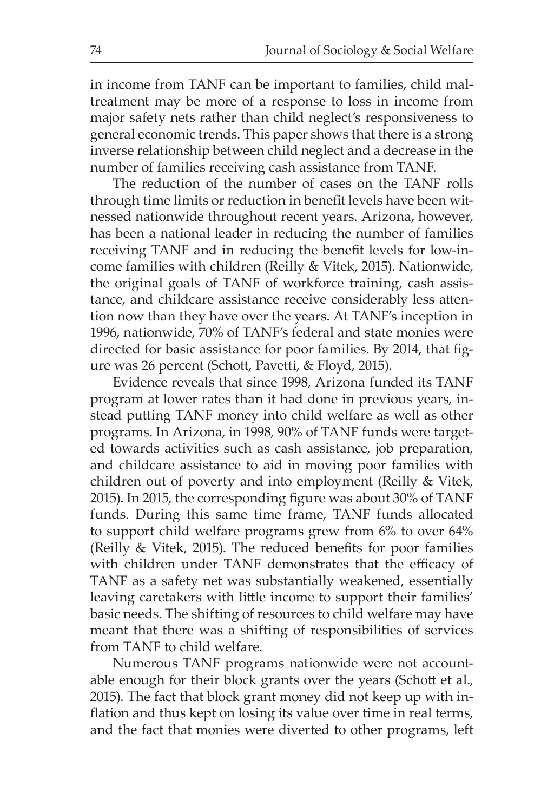in income from TANF can be important to families, child maltreatment may be more of a response to loss in income from major safety nets rather than child neglect's responsiveness to general economic trends. This paper shows that there is a strong inverse relationship between child neglect and a decrease in the number of families receiving cash assistance from TANF.

The reduction of the number of cases on the TANF rolls through time limits or reduction in benefit levels have been witnessed nationwide throughout recent years. Arizona, however, has been a national leader in reducing the number of families receiving TANF and in reducing the benefit levels for low-income families with children (Reilly & Vitek, 2015). Nationwide, the original goals of TANF of workforce training, cash assistance, and childcare assistance receive considerably less attention now than they have over the years. At TANF's inception in 1996, nationwide, 70% of TANF's federal and state monies were directed for basic assistance for poor families. By 2014, that figure was 26 percent (Schott, Pavetti, & Floyd, 2015).

Evidence reveals that since 1998, Arizona funded its TANF program at lower rates than it had done in previous years, instead putting TANF money into child welfare as well as other programs. In Arizona, in 1998, 90% of TANF funds were targeted towards activities such as cash assistance, job preparation, and childcare assistance to aid in moving poor families with children out of poverty and into employment (Reilly & Vitek, 2015). In 2015, the corresponding figure was about 30% of TANF funds. During this same time frame, TANF funds allocated to support child welfare programs grew from 6% to over 64% (Reilly & Vitek, 2015). The reduced benefits for poor families with children under TANF demonstrates that the efficacy of TANF as a safety net was substantially weakened, essentially leaving caretakers with little income to support their families' basic needs. The shifting of resources to child welfare may have meant that there was a shifting of responsibilities of services from TANF to child welfare.

Numerous TANF programs nationwide were not accountable enough for their block grants over the years (Schott et al., 2015). The fact that block grant money did not keep up with inflation and thus kept on losing its value over time in real terms, and the fact that monies were diverted to other programs, left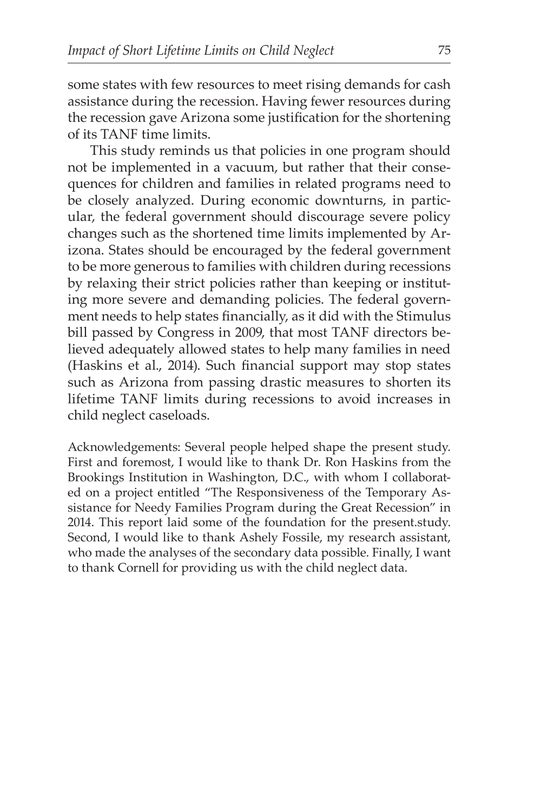some states with few resources to meet rising demands for cash assistance during the recession. Having fewer resources during the recession gave Arizona some justification for the shortening of its TANF time limits.

This study reminds us that policies in one program should not be implemented in a vacuum, but rather that their consequences for children and families in related programs need to be closely analyzed. During economic downturns, in particular, the federal government should discourage severe policy changes such as the shortened time limits implemented by Arizona. States should be encouraged by the federal government to be more generous to families with children during recessions by relaxing their strict policies rather than keeping or instituting more severe and demanding policies. The federal government needs to help states financially, as it did with the Stimulus bill passed by Congress in 2009, that most TANF directors believed adequately allowed states to help many families in need (Haskins et al., 2014). Such financial support may stop states such as Arizona from passing drastic measures to shorten its lifetime TANF limits during recessions to avoid increases in child neglect caseloads.

Acknowledgements: Several people helped shape the present study. First and foremost, I would like to thank Dr. Ron Haskins from the Brookings Institution in Washington, D.C., with whom I collaborated on a project entitled "The Responsiveness of the Temporary Assistance for Needy Families Program during the Great Recession" in 2014. This report laid some of the foundation for the present.study. Second, I would like to thank Ashely Fossile, my research assistant, who made the analyses of the secondary data possible. Finally, I want to thank Cornell for providing us with the child neglect data.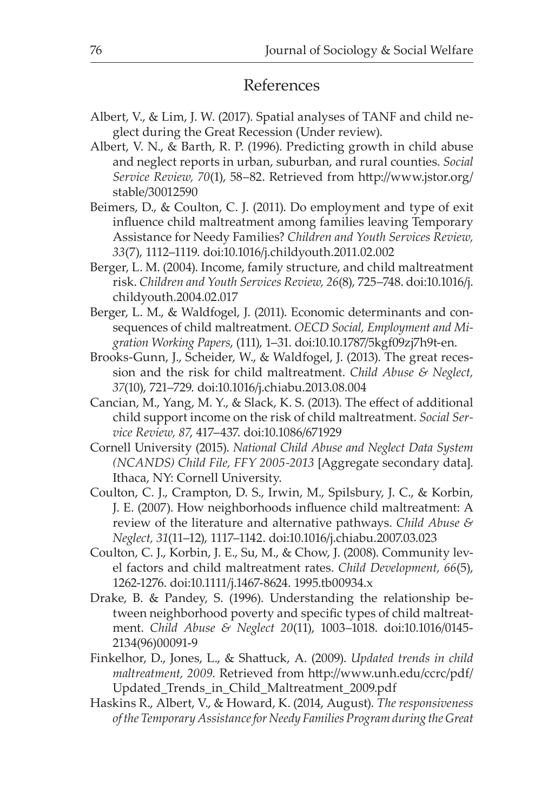# References

- Albert, V., & Lim, J. W. (2017). Spatial analyses of TANF and child neglect during the Great Recession (Under review).
- Albert, V. N., & Barth, R. P. (1996). Predicting growth in child abuse and neglect reports in urban, suburban, and rural counties. *Social Service Review, 70*(1), 58–82. Retrieved from http://www.jstor.org/ stable/30012590
- Beimers, D., & Coulton, C. J. (2011). Do employment and type of exit influence child maltreatment among families leaving Temporary Assistance for Needy Families? *Children and Youth Services Review, 33*(7), 1112–1119. doi:10.1016/j.childyouth.2011.02.002
- Berger, L. M. (2004). Income, family structure, and child maltreatment risk. *Children and Youth Services Review, 26*(8), 725–748. doi:10.1016/j. childyouth.2004.02.017
- Berger, L. M., & Waldfogel, J. (2011). Economic determinants and consequences of child maltreatment. *OECD Social, Employment and Migration Working Papers*, (111), 1–31. doi:10.10.1787/5kgf09zj7h9t-en.
- Brooks-Gunn, J., Scheider, W., & Waldfogel, J. (2013). The great recession and the risk for child maltreatment. *Child Abuse & Neglect, 37*(10), 721–729. doi:10.1016/j.chiabu.2013.08.004
- Cancian, M., Yang, M. Y., & Slack, K. S. (2013). The effect of additional child support income on the risk of child maltreatment. *Social Service Review, 87*, 417–437. doi:10.1086/671929
- Cornell University (2015). *National Child Abuse and Neglect Data System (NCANDS) Child File, FFY 2005-2013* [Aggregate secondary data]. Ithaca, NY: Cornell University.
- Coulton, C. J., Crampton, D. S., Irwin, M., Spilsbury, J. C., & Korbin, J. E. (2007). How neighborhoods influence child maltreatment: A review of the literature and alternative pathways. *Child Abuse & Neglect, 31*(11–12), 1117–1142. doi:10.1016/j.chiabu.2007.03.023
- Coulton, C. J., Korbin, J. E., Su, M., & Chow, J. (2008). Community level factors and child maltreatment rates. *Child Development, 66*(5), 1262-1276. doi:10.1111/j.1467-8624. 1995.tb00934.x
- Drake, B. & Pandey, S. (1996). Understanding the relationship between neighborhood poverty and specific types of child maltreatment. *Child Abuse & Neglect 20*(11), 1003–1018. doi:10.1016/0145- 2134(96)00091-9
- Finkelhor, D., Jones, L., & Shattuck, A. (2009). *Updated trends in child maltreatment, 2009.* Retrieved from http://www.unh.edu/ccrc/pdf/ Updated\_Trends\_in\_Child\_Maltreatment\_2009.pdf
- Haskins R., Albert, V., & Howard, K. (2014, August). *The responsiveness oftheTemporary AssistanceforNeedy FamiliesProgramduring the Great*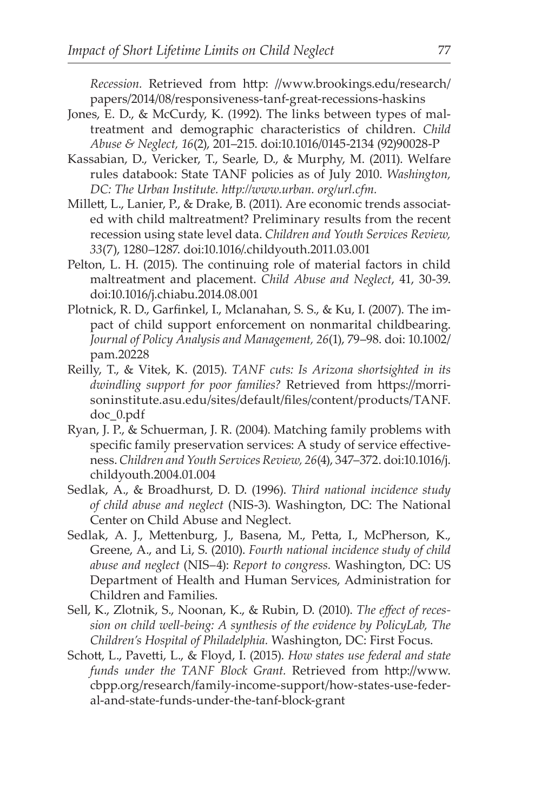*Recession.* Retrieved from http: //www.brookings.edu/research/ papers/2014/08/responsiveness-tanf-great-recessions-haskins

- Jones, E. D., & McCurdy, K. (1992). The links between types of maltreatment and demographic characteristics of children. *Child Abuse & Neglect, 16*(2), 201–215. doi:10.1016/0145-2134 (92)90028-P
- Kassabian, D., Vericker, T., Searle, D., & Murphy, M. (2011). Welfare rules databook: State TANF policies as of July 2010. *Washington, DC: The Urban Institute. http://www.urban. org/url.cfm.*
- Millett, L., Lanier, P., & Drake, B. (2011). Are economic trends associated with child maltreatment? Preliminary results from the recent recession using state level data. *Children and Youth Services Review, 33*(7), 1280–1287. doi:10.1016/.childyouth.2011.03.001
- Pelton, L. H. (2015). The continuing role of material factors in child maltreatment and placement. *Child Abuse and Neglect*, 41, 30-39. doi:10.1016/j.chiabu.2014.08.001
- Plotnick, R. D., Garfinkel, I., Mclanahan, S. S., & Ku, I. (2007). The impact of child support enforcement on nonmarital childbearing. *Journal of Policy Analysis and Management, 26*(1), 79–98. doi: 10.1002/ pam.20228
- Reilly, T., & Vitek, K. (2015). *TANF cuts: Is Arizona shortsighted in its dwindling support for poor families?* Retrieved from https://morrisoninstitute.asu.edu/sites/default/files/content/products/TANF. doc\_0.pdf
- Ryan, J. P., & Schuerman, J. R. (2004). Matching family problems with specific family preservation services: A study of service effectiveness. *Children and Youth Services Review, 26*(4), 347–372. doi:10.1016/j. childyouth.2004.01.004
- Sedlak, A., & Broadhurst, D. D. (1996). *Third national incidence study of child abuse and neglect* (NIS-3). Washington, DC: The National Center on Child Abuse and Neglect.
- Sedlak, A. J., Mettenburg, J., Basena, M., Petta, I., McPherson, K., Greene, A., and Li, S. (2010). *Fourth national incidence study of child abuse and neglect* (NIS–4): *Report to congress.* Washington, DC: US Department of Health and Human Services, Administration for Children and Families.
- Sell, K., Zlotnik, S., Noonan, K., & Rubin, D. (2010). *The effect of recession on child well-being: A synthesis of the evidence by PolicyLab, The Children's Hospital of Philadelphia.* Washington, DC: First Focus.
- Schott, L., Pavetti, L., & Floyd, I. (2015). *How states use federal and state funds under the TANF Block Grant.* Retrieved from http://www. cbpp.org/research/family-income-support/how-states-use-federal-and-state-funds-under-the-tanf-block-grant